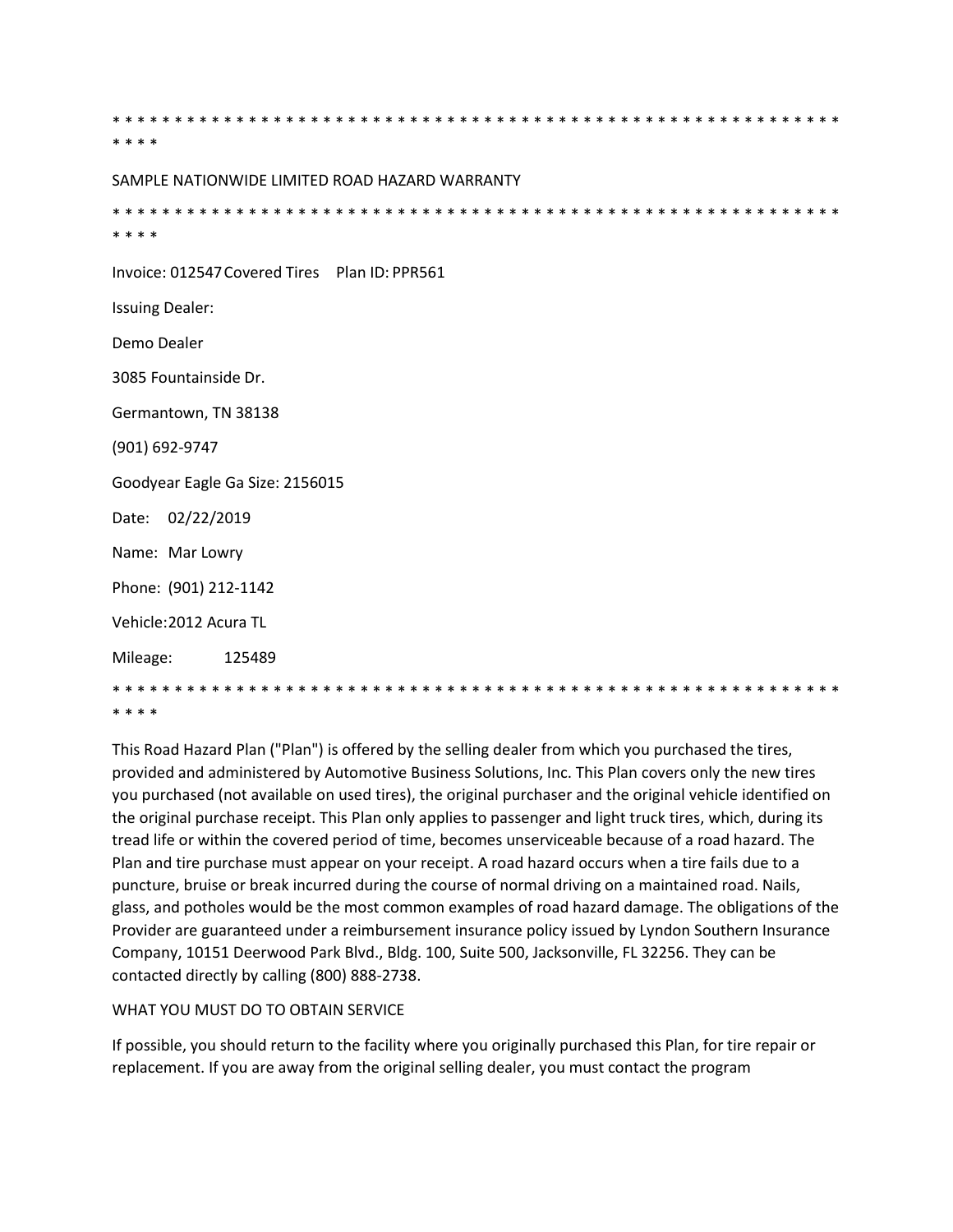\* \* \* \* SAMPLE NATIONWIDE LIMITED ROAD HAZARD WARRANTY \* \* \* \* Invoice: 012547 Covered Tires Plan ID: PPR561 **Issuing Dealer:** Demo Dealer 3085 Fountainside Dr. Germantown, TN 38138 (901) 692-9747 Goodyear Eagle Ga Size: 2156015 Date: 02/22/2019 Name: Mar Lowry Phone: (901) 212-1142 Vehicle: 2012 Acura TL 125489 Mileage: \* \* \* \*

This Road Hazard Plan ("Plan") is offered by the selling dealer from which you purchased the tires, provided and administered by Automotive Business Solutions, Inc. This Plan covers only the new tires you purchased (not available on used tires), the original purchaser and the original vehicle identified on the original purchase receipt. This Plan only applies to passenger and light truck tires, which, during its tread life or within the covered period of time, becomes unserviceable because of a road hazard. The Plan and tire purchase must appear on your receipt. A road hazard occurs when a tire fails due to a puncture, bruise or break incurred during the course of normal driving on a maintained road. Nails, glass, and potholes would be the most common examples of road hazard damage. The obligations of the Provider are guaranteed under a reimbursement insurance policy issued by Lyndon Southern Insurance Company, 10151 Deerwood Park Blvd., Bldg. 100, Suite 500, Jacksonville, FL 32256. They can be contacted directly by calling (800) 888-2738.

## WHAT YOU MUST DO TO OBTAIN SERVICE

If possible, you should return to the facility where you originally purchased this Plan, for tire repair or replacement. If you are away from the original selling dealer, you must contact the program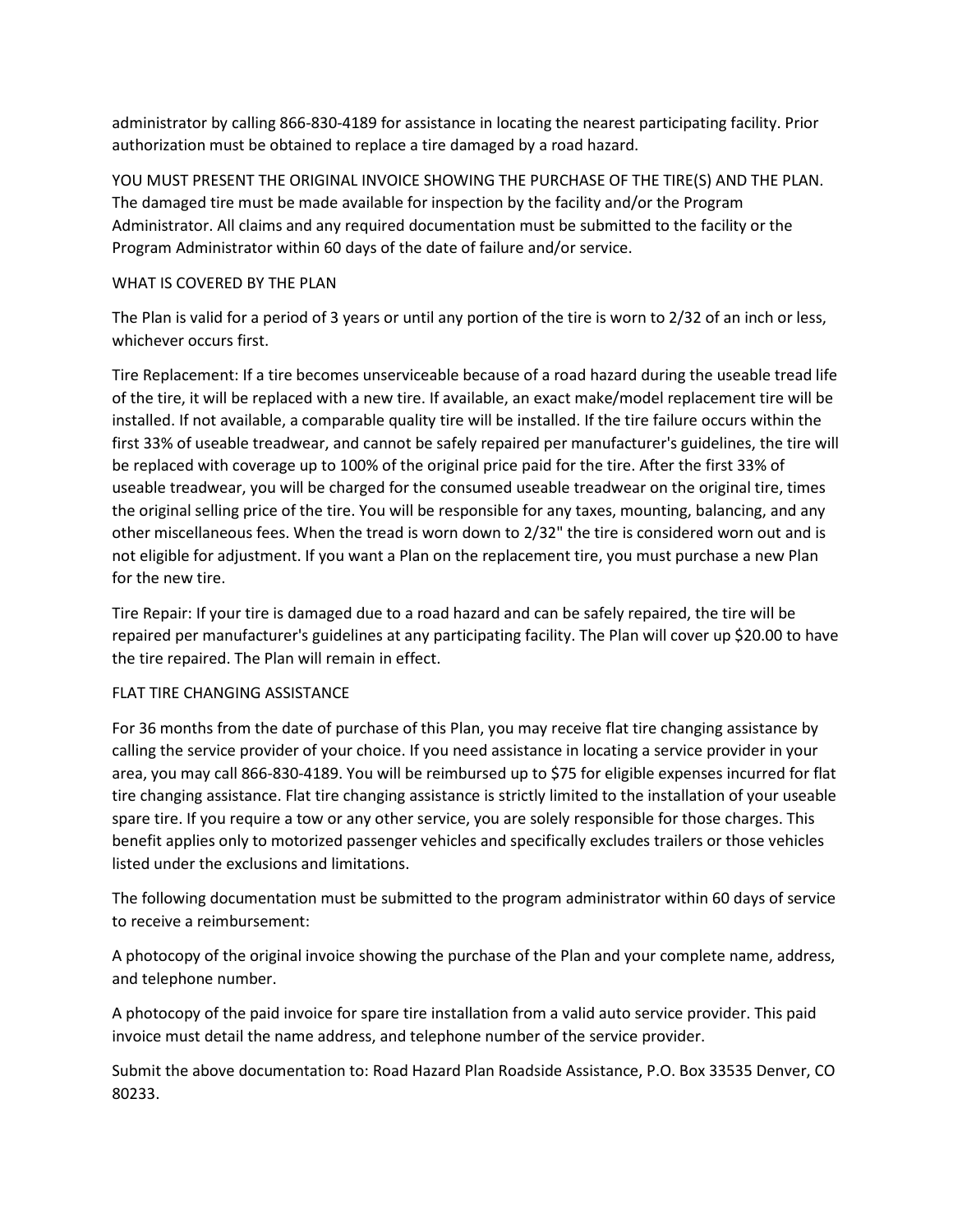administrator by calling 866-830-4189 for assistance in locating the nearest participating facility. Prior authorization must be obtained to replace a tire damaged by a road hazard.

YOU MUST PRESENT THE ORIGINAL INVOICE SHOWING THE PURCHASE OF THE TIRE(S) AND THE PLAN. The damaged tire must be made available for inspection by the facility and/or the Program Administrator. All claims and any required documentation must be submitted to the facility or the Program Administrator within 60 days of the date of failure and/or service.

## WHAT IS COVERED BY THE PLAN

The Plan is valid for a period of 3 years or until any portion of the tire is worn to 2/32 of an inch or less, whichever occurs first.

Tire Replacement: If a tire becomes unserviceable because of a road hazard during the useable tread life of the tire, it will be replaced with a new tire. If available, an exact make/model replacement tire will be installed. If not available, a comparable quality tire will be installed. If the tire failure occurs within the first 33% of useable treadwear, and cannot be safely repaired per manufacturer's guidelines, the tire will be replaced with coverage up to 100% of the original price paid for the tire. After the first 33% of useable treadwear, you will be charged for the consumed useable treadwear on the original tire, times the original selling price of the tire. You will be responsible for any taxes, mounting, balancing, and any other miscellaneous fees. When the tread is worn down to 2/32" the tire is considered worn out and is not eligible for adjustment. If you want a Plan on the replacement tire, you must purchase a new Plan for the new tire.

Tire Repair: If your tire is damaged due to a road hazard and can be safely repaired, the tire will be repaired per manufacturer's guidelines at any participating facility. The Plan will cover up \$20.00 to have the tire repaired. The Plan will remain in effect.

## FLAT TIRE CHANGING ASSISTANCE

For 36 months from the date of purchase of this Plan, you may receive flat tire changing assistance by calling the service provider of your choice. If you need assistance in locating a service provider in your area, you may call 866-830-4189. You will be reimbursed up to \$75 for eligible expenses incurred for flat tire changing assistance. Flat tire changing assistance is strictly limited to the installation of your useable spare tire. If you require a tow or any other service, you are solely responsible for those charges. This benefit applies only to motorized passenger vehicles and specifically excludes trailers or those vehicles listed under the exclusions and limitations.

The following documentation must be submitted to the program administrator within 60 days of service to receive a reimbursement:

A photocopy of the original invoice showing the purchase of the Plan and your complete name, address, and telephone number.

A photocopy of the paid invoice for spare tire installation from a valid auto service provider. This paid invoice must detail the name address, and telephone number of the service provider.

Submit the above documentation to: Road Hazard Plan Roadside Assistance, P.O. Box 33535 Denver, CO 80233.